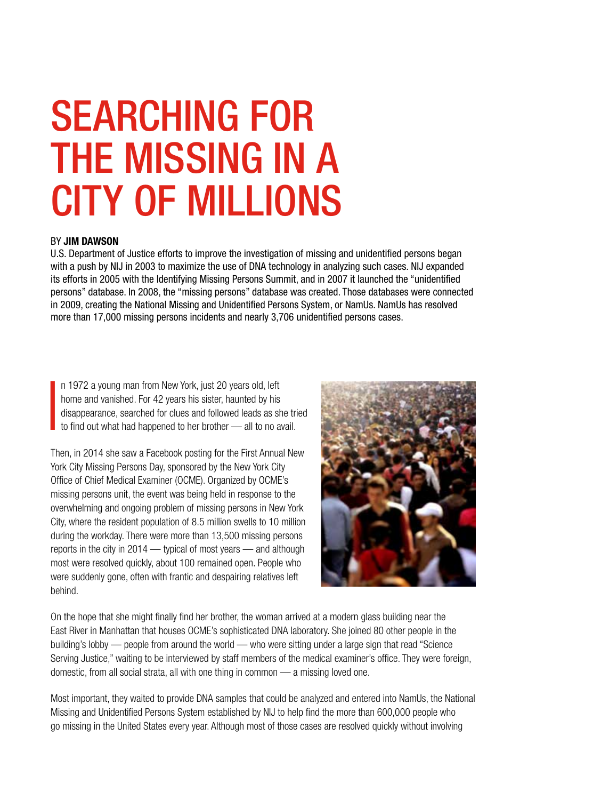# SEARCHING FOR THE MISSING IN A CITY OF MILLIONS

#### BY JIM DAWSON

U.S. Department of Justice efforts to improve the investigation of missing and unidentified persons began with a push by NIJ in 2003 to maximize the use of DNA technology in analyzing such cases. NIJ expanded its efforts in 2005 with the Identifying Missing Persons Summit, and in 2007 it launched the "unidentified persons" database. In 2008, the "missing persons" database was created. Those databases were connected in 2009, creating the National Missing and Unidentified Persons System, or NamUs. NamUs has resolved more than 17,000 missing persons incidents and nearly 3,706 unidentified persons cases.

I n 1972 a young man from New York, just 20 years old, left home and vanished. For 42 years his sister, haunted by his disappearance, searched for clues and followed leads as she tried to find out what had happened to her brother — all to no avail.

Then, in 2014 she saw a Facebook posting for the First Annual New York City Missing Persons Day, sponsored by the New York City Office of Chief Medical Examiner (OCME). Organized by OCME's missing persons unit, the event was being held in response to the overwhelming and ongoing problem of missing persons in New York City, where the resident population of 8.5 million swells to 10 million during the workday. There were more than 13,500 missing persons reports in the city in 2014 — typical of most years — and although most were resolved quickly, about 100 remained open. People who were suddenly gone, often with frantic and despairing relatives left behind.



On the hope that she might finally find her brother, the woman arrived at a modern glass building near the East River in Manhattan that houses OCME's sophisticated DNA laboratory. She joined 80 other people in the building's lobby — people from around the world — who were sitting under a large sign that read "Science Serving Justice," waiting to be interviewed by staff members of the medical examiner's office. They were foreign, domestic, from all social strata, all with one thing in common — a missing loved one.

Most important, they waited to provide DNA samples that could be analyzed and entered into NamUs, the National Missing and Unidentified Persons System established by NIJ to help find the more than 600,000 people who go missing in the United States every year. Although most of those cases are resolved quickly without involving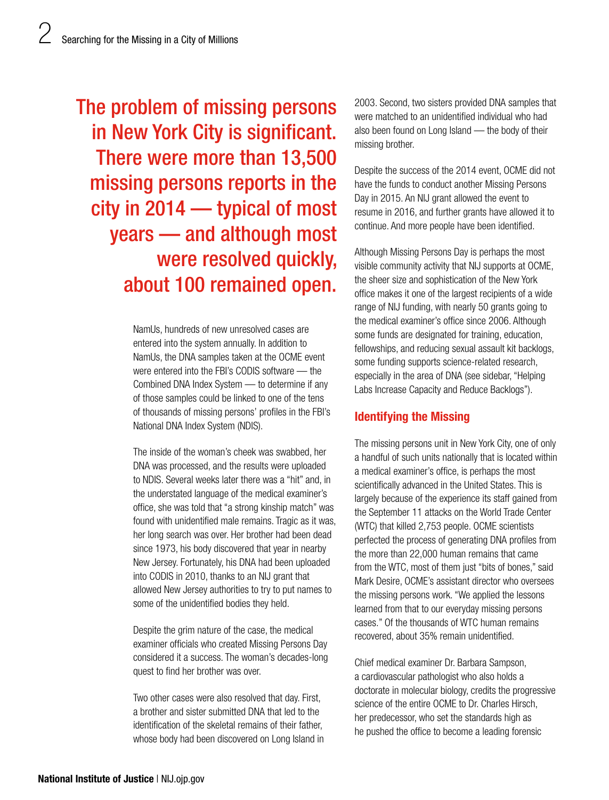The problem of missing persons in New York City is significant. There were more than 13,500 missing persons reports in the city in 2014 — typical of most years — and although most were resolved quickly, about 100 remained open.

> NamUs, hundreds of new unresolved cases are entered into the system annually. In addition to NamUs, the DNA samples taken at the OCME event were entered into the FBI's CODIS software — the Combined DNA Index System — to determine if any of those samples could be linked to one of the tens of thousands of missing persons' profiles in the FBI's National DNA Index System (NDIS).

The inside of the woman's cheek was swabbed, her DNA was processed, and the results were uploaded to NDIS. Several weeks later there was a "hit" and, in the understated language of the medical examiner's office, she was told that "a strong kinship match" was found with unidentified male remains. Tragic as it was, her long search was over. Her brother had been dead since 1973, his body discovered that year in nearby New Jersey. Fortunately, his DNA had been uploaded into CODIS in 2010, thanks to an NIJ grant that allowed New Jersey authorities to try to put names to some of the unidentified bodies they held.

Despite the grim nature of the case, the medical examiner officials who created Missing Persons Day considered it a success. The woman's decades-long quest to find her brother was over.

Two other cases were also resolved that day. First, a brother and sister submitted DNA that led to the identification of the skeletal remains of their father, whose body had been discovered on Long Island in 2003. Second, two sisters provided DNA samples that were matched to an unidentified individual who had also been found on Long Island — the body of their missing brother.

Despite the success of the 2014 event, OCME did not have the funds to conduct another Missing Persons Day in 2015. An NIJ grant allowed the event to resume in 2016, and further grants have allowed it to continue. And more people have been identified.

Although Missing Persons Day is perhaps the most visible community activity that NIJ supports at OCME, the sheer size and sophistication of the New York office makes it one of the largest recipients of a wide range of NIJ funding, with nearly 50 grants going to the medical examiner's office since 2006. Although some funds are designated for training, education, fellowships, and reducing sexual assault kit backlogs, some funding supports science-related research, especially in the area of DNA (see sidebar, "Helping Labs Increase Capacity and Reduce Backlogs").

# Identifying the Missing

The missing persons unit in New York City, one of only a handful of such units nationally that is located within a medical examiner's office, is perhaps the most scientifically advanced in the United States. This is largely because of the experience its staff gained from the September 11 attacks on the World Trade Center (WTC) that killed 2,753 people. OCME scientists perfected the process of generating DNA profiles from the more than 22,000 human remains that came from the WTC, most of them just "bits of bones," said Mark Desire, OCME's assistant director who oversees the missing persons work. "We applied the lessons learned from that to our everyday missing persons cases." Of the thousands of WTC human remains recovered, about 35% remain unidentified.

Chief medical examiner Dr. Barbara Sampson, a cardiovascular pathologist who also holds a doctorate in molecular biology, credits the progressive science of the entire OCME to Dr. Charles Hirsch, her predecessor, who set the standards high as he pushed the office to become a leading forensic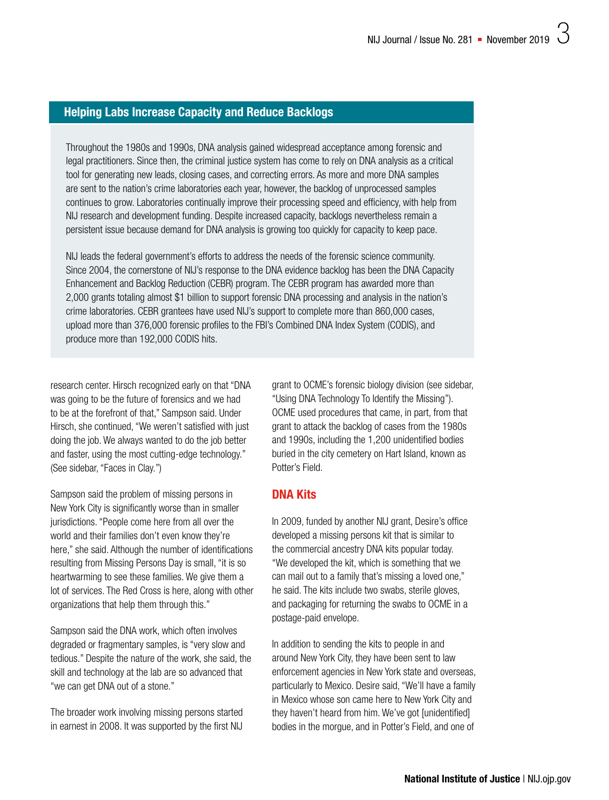## Helping Labs Increase Capacity and Reduce Backlogs

Throughout the 1980s and 1990s, DNA analysis gained widespread acceptance among forensic and legal practitioners. Since then, the criminal justice system has come to rely on DNA analysis as a critical tool for generating new leads, closing cases, and correcting errors. As more and more DNA samples are sent to the nation's crime laboratories each year, however, the backlog of unprocessed samples continues to grow. Laboratories continually improve their processing speed and efficiency, with help from NIJ research and development funding. Despite increased capacity, backlogs nevertheless remain a persistent issue because demand for DNA analysis is growing too quickly for capacity to keep pace.

NIJ leads the federal government's efforts to address the needs of the forensic science community. Since 2004, the cornerstone of NIJ's response to the DNA evidence backlog has been the DNA Capacity Enhancement and Backlog Reduction (CEBR) program. The CEBR program has awarded more than 2,000 grants totaling almost \$1 billion to support forensic DNA processing and analysis in the nation's crime laboratories. CEBR grantees have used NIJ's support to complete more than 860,000 cases, upload more than 376,000 forensic profiles to the FBI's Combined DNA Index System (CODIS), and produce more than 192,000 CODIS hits.

research center. Hirsch recognized early on that "DNA was going to be the future of forensics and we had to be at the forefront of that," Sampson said. Under Hirsch, she continued, "We weren't satisfied with just doing the job. We always wanted to do the job better and faster, using the most cutting-edge technology." (See sidebar, "Faces in Clay.")

Sampson said the problem of missing persons in New York City is significantly worse than in smaller jurisdictions. "People come here from all over the world and their families don't even know they're here," she said. Although the number of identifications resulting from Missing Persons Day is small, "it is so heartwarming to see these families. We give them a lot of services. The Red Cross is here, along with other organizations that help them through this."

Sampson said the DNA work, which often involves degraded or fragmentary samples, is "very slow and tedious." Despite the nature of the work, she said, the skill and technology at the lab are so advanced that "we can get DNA out of a stone."

The broader work involving missing persons started in earnest in 2008. It was supported by the first NIJ

grant to OCME's forensic biology division (see sidebar, "Using DNA Technology To Identify the Missing"). OCME used procedures that came, in part, from that grant to attack the backlog of cases from the 1980s and 1990s, including the 1,200 unidentified bodies buried in the city cemetery on Hart Island, known as Potter's Field.

#### DNA Kits

In 2009, funded by another NIJ grant, Desire's office developed a missing persons kit that is similar to the commercial ancestry DNA kits popular today. "We developed the kit, which is something that we can mail out to a family that's missing a loved one," he said. The kits include two swabs, sterile gloves, and packaging for returning the swabs to OCME in a postage-paid envelope.

In addition to sending the kits to people in and around New York City, they have been sent to law enforcement agencies in New York state and overseas, particularly to Mexico. Desire said, "We'll have a family in Mexico whose son came here to New York City and they haven't heard from him. We've got [unidentified] bodies in the morgue, and in Potter's Field, and one of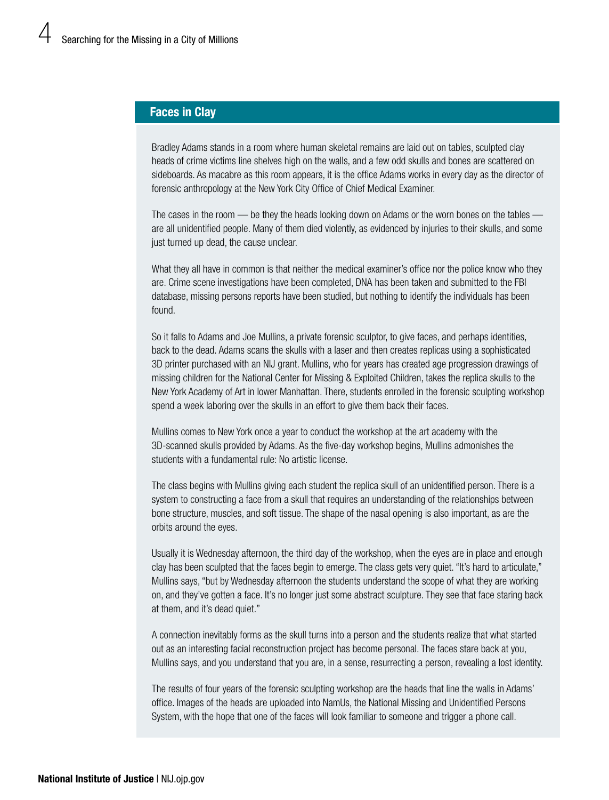## Faces in Clay

Bradley Adams stands in a room where human skeletal remains are laid out on tables, sculpted clay heads of crime victims line shelves high on the walls, and a few odd skulls and bones are scattered on sideboards. As macabre as this room appears, it is the office Adams works in every day as the director of forensic anthropology at the New York City Office of Chief Medical Examiner.

The cases in the room — be they the heads looking down on Adams or the worn bones on the tables are all unidentified people. Many of them died violently, as evidenced by injuries to their skulls, and some just turned up dead, the cause unclear.

What they all have in common is that neither the medical examiner's office nor the police know who they are. Crime scene investigations have been completed, DNA has been taken and submitted to the FBI database, missing persons reports have been studied, but nothing to identify the individuals has been found.

So it falls to Adams and Joe Mullins, a private forensic sculptor, to give faces, and perhaps identities, back to the dead. Adams scans the skulls with a laser and then creates replicas using a sophisticated 3D printer purchased with an NIJ grant. Mullins, who for years has created age progression drawings of missing children for the National Center for Missing & Exploited Children, takes the replica skulls to the New York Academy of Art in lower Manhattan. There, students enrolled in the forensic sculpting workshop spend a week laboring over the skulls in an effort to give them back their faces.

Mullins comes to New York once a year to conduct the workshop at the art academy with the 3D-scanned skulls provided by Adams. As the five-day workshop begins, Mullins admonishes the students with a fundamental rule: No artistic license.

The class begins with Mullins giving each student the replica skull of an unidentified person. There is a system to constructing a face from a skull that requires an understanding of the relationships between bone structure, muscles, and soft tissue. The shape of the nasal opening is also important, as are the orbits around the eyes.

Usually it is Wednesday afternoon, the third day of the workshop, when the eyes are in place and enough clay has been sculpted that the faces begin to emerge. The class gets very quiet. "It's hard to articulate," Mullins says, "but by Wednesday afternoon the students understand the scope of what they are working on, and they've gotten a face. It's no longer just some abstract sculpture. They see that face staring back at them, and it's dead quiet."

A connection inevitably forms as the skull turns into a person and the students realize that what started out as an interesting facial reconstruction project has become personal. The faces stare back at you, Mullins says, and you understand that you are, in a sense, resurrecting a person, revealing a lost identity.

The results of four years of the forensic sculpting workshop are the heads that line the walls in Adams' office. Images of the heads are uploaded into NamUs, the National Missing and Unidentified Persons System, with the hope that one of the faces will look familiar to someone and trigger a phone call.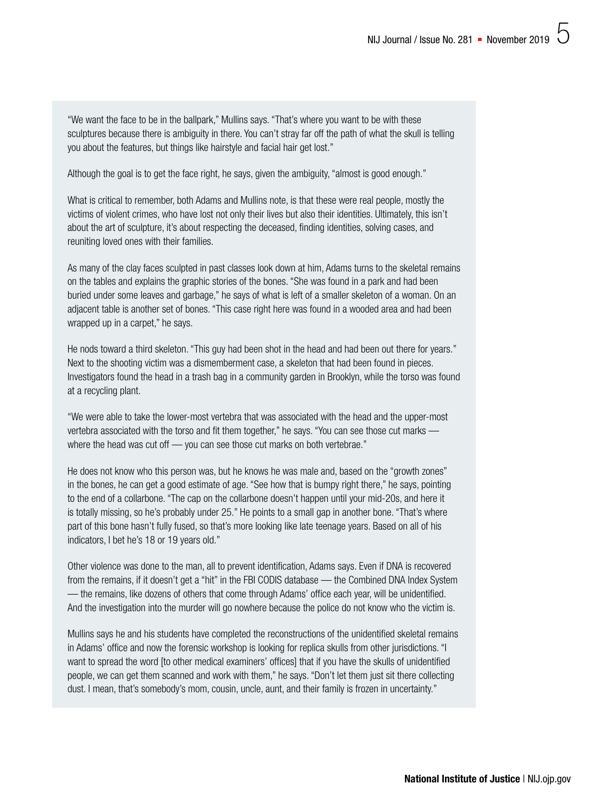"We want the face to be in the ballpark," Mullins says. "That's where you want to be with these sculptures because there is ambiguity in there. You can't stray far off the path of what the skull is telling you about the features, but things like hairstyle and facial hair get lost."

Although the goal is to get the face right, he says, given the ambiguity, "almost is good enough."

What is critical to remember, both Adams and Mullins note, is that these were real people, mostly the victims of violent crimes, who have lost not only their lives but also their identities. Ultimately, this isn't about the art of sculpture, it's about respecting the deceased, finding identities, solving cases, and reuniting loved ones with their families.

As many of the clay faces sculpted in past classes look down at him, Adams turns to the skeletal remains on the tables and explains the graphic stories of the bones. "She was found in a park and had been buried under some leaves and garbage," he says of what is left of a smaller skeleton of a woman. On an adjacent table is another set of bones. "This case right here was found in a wooded area and had been wrapped up in a carpet," he says.

He nods toward a third skeleton. "This guy had been shot in the head and had been out there for years." Next to the shooting victim was a dismemberment case, a skeleton that had been found in pieces. Investigators found the head in a trash bag in a community garden in Brooklyn, while the torso was found at a recycling plant.

"We were able to take the lower-most vertebra that was associated with the head and the upper-most vertebra associated with the torso and fit them together," he says. "You can see those cut marks where the head was cut off — you can see those cut marks on both vertebrae."

He does not know who this person was, but he knows he was male and, based on the "growth zones" in the bones, he can get a good estimate of age. "See how that is bumpy right there," he says, pointing to the end of a collarbone. "The cap on the collarbone doesn't happen until your mid-20s, and here it is totally missing, so he's probably under 25." He points to a small gap in another bone. "That's where part of this bone hasn't fully fused, so that's more looking like late teenage years. Based on all of his indicators, I bet he's 18 or 19 years old."

Other violence was done to the man, all to prevent identification, Adams says. Even if DNA is recovered from the remains, if it doesn't get a "hit" in the FBI CODIS database — the Combined DNA Index System — the remains, like dozens of others that come through Adams' office each year, will be unidentified. And the investigation into the murder will go nowhere because the police do not know who the victim is.

Mullins says he and his students have completed the reconstructions of the unidentified skeletal remains in Adams' office and now the forensic workshop is looking for replica skulls from other jurisdictions. "I want to spread the word [to other medical examiners' offices] that if you have the skulls of unidentified people, we can get them scanned and work with them," he says. "Don't let them just sit there collecting dust. I mean, that's somebody's mom, cousin, uncle, aunt, and their family is frozen in uncertainty."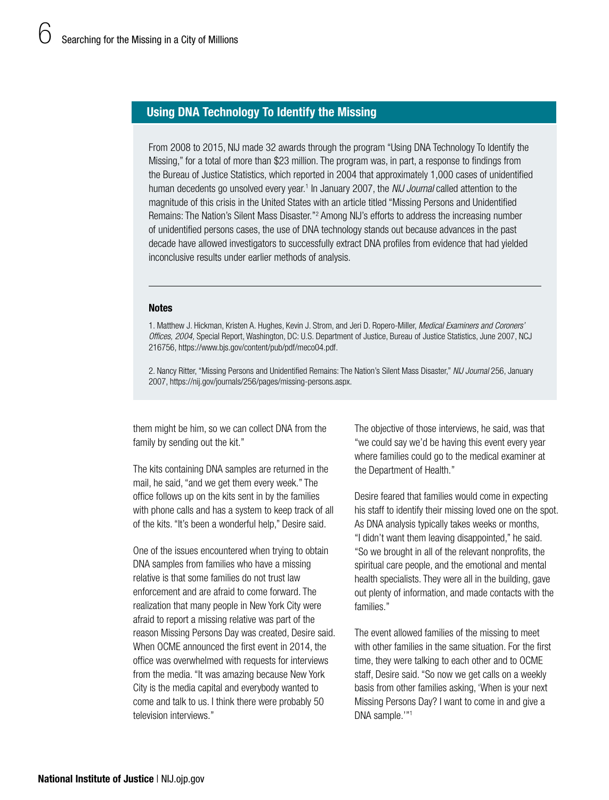### Using DNA Technology To Identify the Missing

From 2008 to 2015, NIJ made 32 awards through the program "Using DNA Technology To Identify the Missing," for a total of more than \$23 million. The program was, in part, a response to findings from the Bureau of Justice Statistics, which reported in 2004 that approximately 1,000 cases of unidentified human decedents go unsolved every year.<sup>1</sup> In January 2007, the *NIJ Journal* called attention to the magnitude of this crisis in the United States with an article titled "Missing Persons and Unidentified Remains: The Nation's Silent Mass Disaster."<sup>2</sup> Among NIJ's efforts to address the increasing number of unidentified persons cases, the use of DNA technology stands out because advances in the past decade have allowed investigators to successfully extract DNA profiles from evidence that had yielded inconclusive results under earlier methods of analysis.

#### **Notes**

1. Matthew J. Hickman, Kristen A. Hughes, Kevin J. Strom, and Jeri D. Ropero-Miller, *Medical Examiners and Coroners' Offices, 2004,* Special Report, Washington, DC: U.S. Department of Justice, Bureau of Justice Statistics, June 2007, NCJ 216756, [https://www.bjs.gov/content/pub/pdf/meco04.pdf.](https://www.bjs.gov/content/pub/pdf/meco04.pdf)

2. Nancy Ritter, "Missing Persons and Unidentified Remains: The Nation's Silent Mass Disaster," *NIJ Journal* 256, January 2007, [https://nij.gov/journals/256/pages/missing-persons.aspx.](https://nij.gov/journals/256/pages/missing-persons.aspx)

them might be him, so we can collect DNA from the family by sending out the kit."

The kits containing DNA samples are returned in the mail, he said, "and we get them every week." The office follows up on the kits sent in by the families with phone calls and has a system to keep track of all of the kits. "It's been a wonderful help," Desire said.

One of the issues encountered when trying to obtain DNA samples from families who have a missing relative is that some families do not trust law enforcement and are afraid to come forward. The realization that many people in New York City were afraid to report a missing relative was part of the reason Missing Persons Day was created, Desire said. When OCME announced the first event in 2014, the office was overwhelmed with requests for interviews from the media. "It was amazing because New York City is the media capital and everybody wanted to come and talk to us. I think there were probably 50 television interviews."

The objective of those interviews, he said, was that "we could say we'd be having this event every year where families could go to the medical examiner at the Department of Health."

Desire feared that families would come in expecting his staff to identify their missing loved one on the spot. As DNA analysis typically takes weeks or months, "I didn't want them leaving disappointed," he said. "So we brought in all of the relevant nonprofits, the spiritual care people, and the emotional and mental health specialists. They were all in the building, gave out plenty of information, and made contacts with the families."

The event allowed families of the missing to meet with other families in the same situation. For the first time, they were talking to each other and to OCME staff, Desire said. "So now we get calls on a weekly basis from other families asking, 'When is your next Missing Persons Day? I want to come in and give a DNA sample.'"1